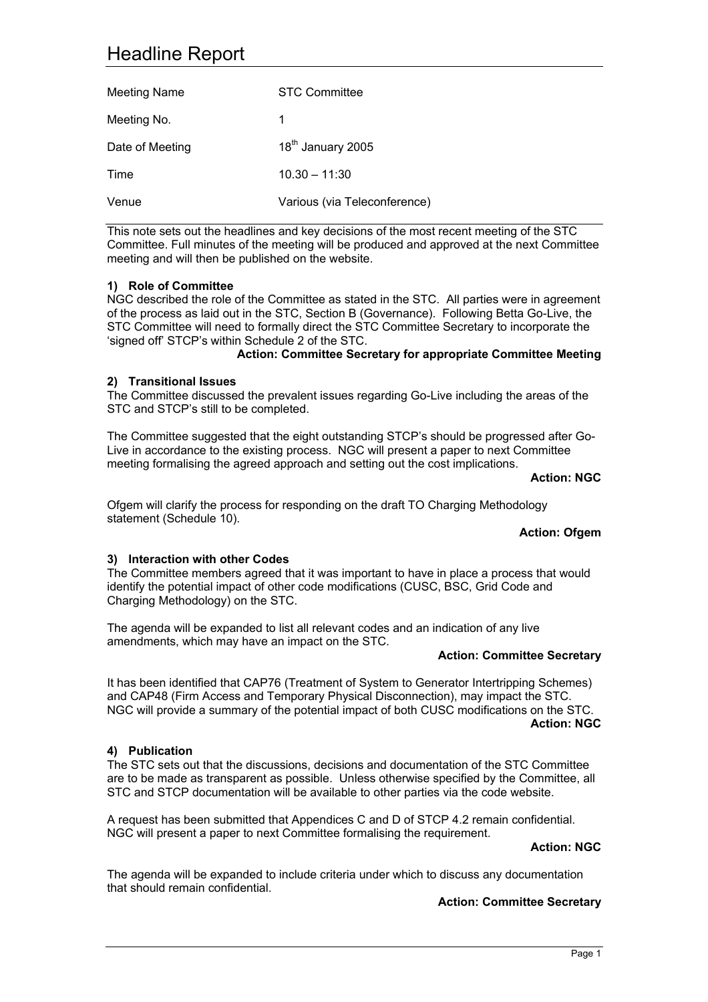# Headline Report

| Meeting Name    | STC Committee                 |
|-----------------|-------------------------------|
| Meeting No.     | 1                             |
| Date of Meeting | 18 <sup>th</sup> January 2005 |
| Time            | $10.30 - 11:30$               |
| Venue           | Various (via Teleconference)  |

This note sets out the headlines and key decisions of the most recent meeting of the STC Committee. Full minutes of the meeting will be produced and approved at the next Committee meeting and will then be published on the website.

## **1) Role of Committee**

NGC described the role of the Committee as stated in the STC. All parties were in agreement of the process as laid out in the STC, Section B (Governance). Following Betta Go-Live, the STC Committee will need to formally direct the STC Committee Secretary to incorporate the 'signed off' STCP's within Schedule 2 of the STC.

## **Action: Committee Secretary for appropriate Committee Meeting**

## **2) Transitional Issues**

The Committee discussed the prevalent issues regarding Go-Live including the areas of the STC and STCP's still to be completed.

The Committee suggested that the eight outstanding STCP's should be progressed after Go-Live in accordance to the existing process. NGC will present a paper to next Committee meeting formalising the agreed approach and setting out the cost implications.

#### **Action: NGC**

Ofgem will clarify the process for responding on the draft TO Charging Methodology statement (Schedule 10).

## **Action: Ofgem**

## **3) Interaction with other Codes**

The Committee members agreed that it was important to have in place a process that would identify the potential impact of other code modifications (CUSC, BSC, Grid Code and Charging Methodology) on the STC.

The agenda will be expanded to list all relevant codes and an indication of any live amendments, which may have an impact on the STC.

#### **Action: Committee Secretary**

It has been identified that CAP76 (Treatment of System to Generator Intertripping Schemes) and CAP48 (Firm Access and Temporary Physical Disconnection), may impact the STC. NGC will provide a summary of the potential impact of both CUSC modifications on the STC. **Action: NGC**

#### **4) Publication**

The STC sets out that the discussions, decisions and documentation of the STC Committee are to be made as transparent as possible. Unless otherwise specified by the Committee, all STC and STCP documentation will be available to other parties via the code website.

A request has been submitted that Appendices C and D of STCP 4.2 remain confidential. NGC will present a paper to next Committee formalising the requirement.

#### **Action: NGC**

The agenda will be expanded to include criteria under which to discuss any documentation that should remain confidential.

#### **Action: Committee Secretary**